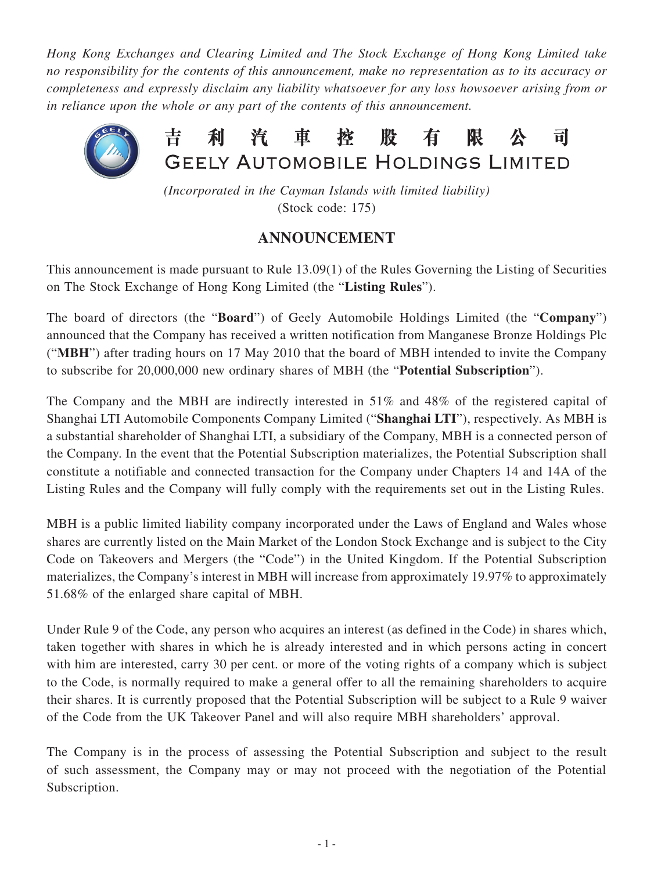*Hong Kong Exchanges and Clearing Limited and The Stock Exchange of Hong Kong Limited take no responsibility for the contents of this announcement, make no representation as to its accuracy or completeness and expressly disclaim any liability whatsoever for any loss howsoever arising from or in reliance upon the whole or any part of the contents of this announcement.*



*(Incorporated in the Cayman Islands with limited liability)* (Stock code: 175)

## **ANNOUNCEMENT**

This announcement is made pursuant to Rule 13.09(1) of the Rules Governing the Listing of Securities on The Stock Exchange of Hong Kong Limited (the "**Listing Rules**").

The board of directors (the "**Board**") of Geely Automobile Holdings Limited (the "**Company**") announced that the Company has received a written notification from Manganese Bronze Holdings Plc ("**MBH**") after trading hours on 17 May 2010 that the board of MBH intended to invite the Company to subscribe for 20,000,000 new ordinary shares of MBH (the "**Potential Subscription**").

The Company and the MBH are indirectly interested in 51% and 48% of the registered capital of Shanghai LTI Automobile Components Company Limited ("**Shanghai LTI**"), respectively. As MBH is a substantial shareholder of Shanghai LTI, a subsidiary of the Company, MBH is a connected person of the Company. In the event that the Potential Subscription materializes, the Potential Subscription shall constitute a notifiable and connected transaction for the Company under Chapters 14 and 14A of the Listing Rules and the Company will fully comply with the requirements set out in the Listing Rules.

MBH is a public limited liability company incorporated under the Laws of England and Wales whose shares are currently listed on the Main Market of the London Stock Exchange and is subject to the City Code on Takeovers and Mergers (the "Code") in the United Kingdom. If the Potential Subscription materializes, the Company's interest in MBH will increase from approximately 19.97% to approximately 51.68% of the enlarged share capital of MBH.

Under Rule 9 of the Code, any person who acquires an interest (as defined in the Code) in shares which, taken together with shares in which he is already interested and in which persons acting in concert with him are interested, carry 30 per cent. or more of the voting rights of a company which is subject to the Code, is normally required to make a general offer to all the remaining shareholders to acquire their shares. It is currently proposed that the Potential Subscription will be subject to a Rule 9 waiver of the Code from the UK Takeover Panel and will also require MBH shareholders' approval.

The Company is in the process of assessing the Potential Subscription and subject to the result of such assessment, the Company may or may not proceed with the negotiation of the Potential Subscription.